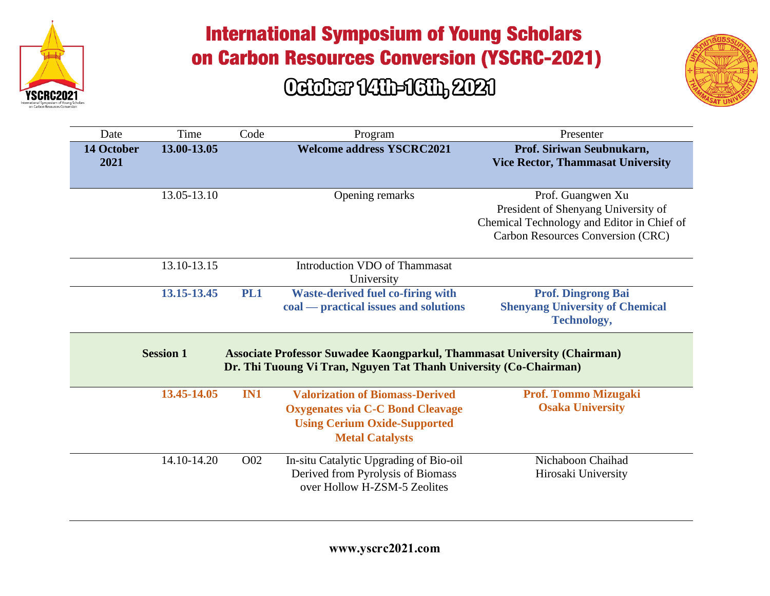



| Date                      | Time             | Code             | Program                                                                                                                                            | Presenter                                                                                                                                   |
|---------------------------|------------------|------------------|----------------------------------------------------------------------------------------------------------------------------------------------------|---------------------------------------------------------------------------------------------------------------------------------------------|
| <b>14 October</b><br>2021 | 13.00-13.05      |                  | <b>Welcome address YSCRC2021</b>                                                                                                                   | Prof. Siriwan Seubnukarn,<br><b>Vice Rector, Thammasat University</b>                                                                       |
|                           | 13.05-13.10      |                  | Opening remarks                                                                                                                                    | Prof. Guangwen Xu<br>President of Shenyang University of<br>Chemical Technology and Editor in Chief of<br>Carbon Resources Conversion (CRC) |
|                           | 13.10-13.15      |                  | <b>Introduction VDO of Thammasat</b><br>University                                                                                                 |                                                                                                                                             |
|                           | 13.15-13.45      | PL1              | <b>Waste-derived fuel co-firing with</b><br>coal — practical issues and solutions                                                                  | <b>Prof. Dingrong Bai</b><br><b>Shenyang University of Chemical</b><br><b>Technology,</b>                                                   |
|                           | <b>Session 1</b> |                  | Associate Professor Suwadee Kaongparkul, Thammasat University (Chairman)<br>Dr. Thi Tuoung Vi Tran, Nguyen Tat Thanh University (Co-Chairman)      |                                                                                                                                             |
|                           | 13.45-14.05      | IN1              | <b>Valorization of Biomass-Derived</b><br><b>Oxygenates via C-C Bond Cleavage</b><br><b>Using Cerium Oxide-Supported</b><br><b>Metal Catalysts</b> | <b>Prof. Tommo Mizugaki</b><br><b>Osaka University</b>                                                                                      |
|                           | 14.10-14.20      | O <sub>0</sub> 2 | In-situ Catalytic Upgrading of Bio-oil<br>Derived from Pyrolysis of Biomass<br>over Hollow H-ZSM-5 Zeolites                                        | Nichaboon Chaihad<br>Hirosaki University                                                                                                    |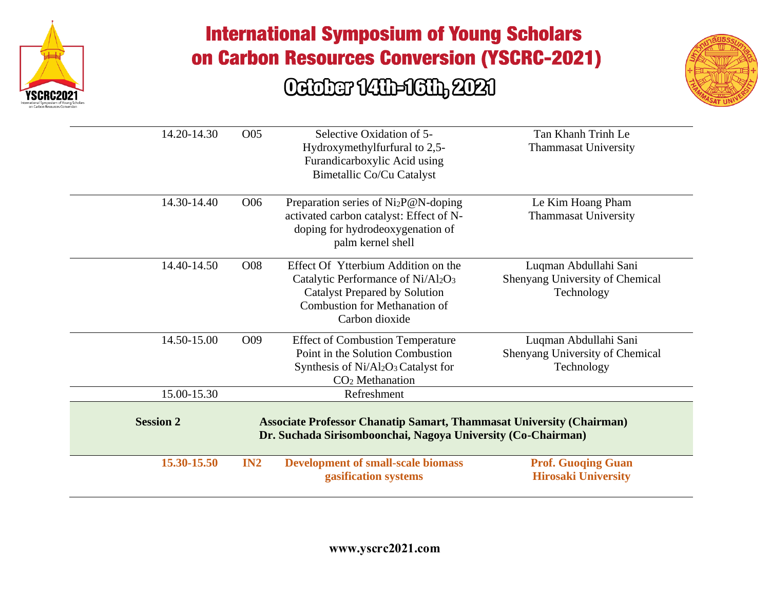

#### Ociober 1411-1611, 2021



| 14.20-14.30      | O05             | Selective Oxidation of 5-<br>Hydroxymethylfurfural to 2,5-<br>Furandicarboxylic Acid using<br>Bimetallic Co/Cu Catalyst                                                    | Tan Khanh Trinh Le<br><b>Thammasat University</b>                      |
|------------------|-----------------|----------------------------------------------------------------------------------------------------------------------------------------------------------------------------|------------------------------------------------------------------------|
| 14.30-14.40      | O <sub>06</sub> | Preparation series of Ni <sub>2</sub> P@N-doping<br>activated carbon catalyst: Effect of N-<br>doping for hydrodeoxygenation of<br>palm kernel shell                       | Le Kim Hoang Pham<br><b>Thammasat University</b>                       |
| 14.40-14.50      | O08             | Effect Of Ytterbium Addition on the<br>Catalytic Performance of Ni/Al2O3<br><b>Catalyst Prepared by Solution</b><br><b>Combustion for Methanation of</b><br>Carbon dioxide | Luqman Abdullahi Sani<br>Shenyang University of Chemical<br>Technology |
| 14.50-15.00      | O09             | <b>Effect of Combustion Temperature</b><br>Point in the Solution Combustion<br>Synthesis of Ni/Al2O3 Catalyst for<br>$CO2$ Methanation                                     | Luqman Abdullahi Sani<br>Shenyang University of Chemical<br>Technology |
| 15.00-15.30      |                 | Refreshment                                                                                                                                                                |                                                                        |
| <b>Session 2</b> |                 | <b>Associate Professor Chanatip Samart, Thammasat University (Chairman)</b><br>Dr. Suchada Sirisomboonchai, Nagoya University (Co-Chairman)                                |                                                                        |
| 15.30-15.50      | IN2             | <b>Development of small-scale biomass</b><br>gasification systems                                                                                                          | <b>Prof. Guoqing Guan</b><br><b>Hirosaki University</b>                |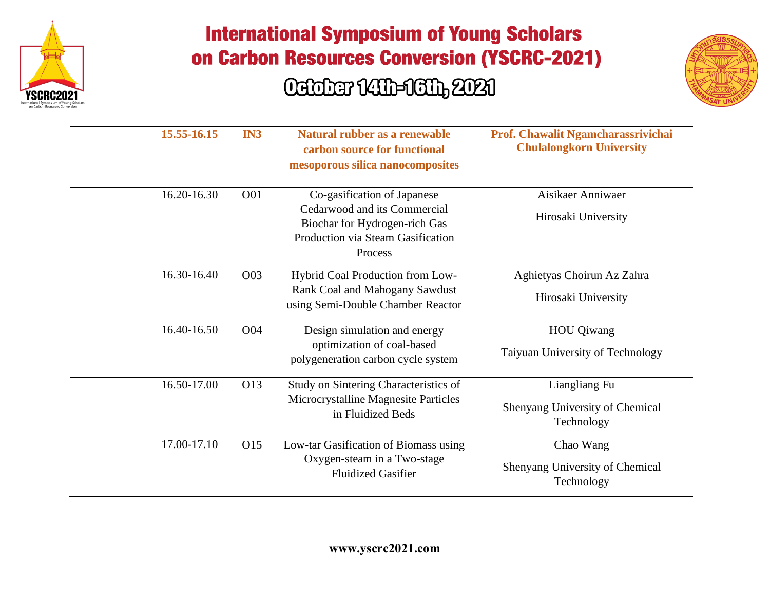



| 15.55-16.15 | IN3        | Natural rubber as a renewable<br>carbon source for functional<br>mesoporous silica nanocomposites                                            | Prof. Chawalit Ngamcharassrivichai<br><b>Chulalongkorn University</b> |
|-------------|------------|----------------------------------------------------------------------------------------------------------------------------------------------|-----------------------------------------------------------------------|
| 16.20-16.30 | <b>O01</b> | Co-gasification of Japanese<br>Cedarwood and its Commercial<br>Biochar for Hydrogen-rich Gas<br>Production via Steam Gasification<br>Process | Aisikaer Anniwaer<br>Hirosaki University                              |
| 16.30-16.40 | O03        | Hybrid Coal Production from Low-<br>Rank Coal and Mahogany Sawdust<br>using Semi-Double Chamber Reactor                                      | Aghietyas Choirun Az Zahra<br>Hirosaki University                     |
| 16.40-16.50 | O04        | Design simulation and energy<br>optimization of coal-based<br>polygeneration carbon cycle system                                             | <b>HOU</b> Qiwang<br>Taiyuan University of Technology                 |
| 16.50-17.00 | O13        | Study on Sintering Characteristics of<br>Microcrystalline Magnesite Particles<br>in Fluidized Beds                                           | Liangliang Fu<br>Shenyang University of Chemical<br>Technology        |
| 17.00-17.10 | O15        | Low-tar Gasification of Biomass using<br>Oxygen-steam in a Two-stage<br><b>Fluidized Gasifier</b>                                            | Chao Wang<br>Shenyang University of Chemical<br>Technology            |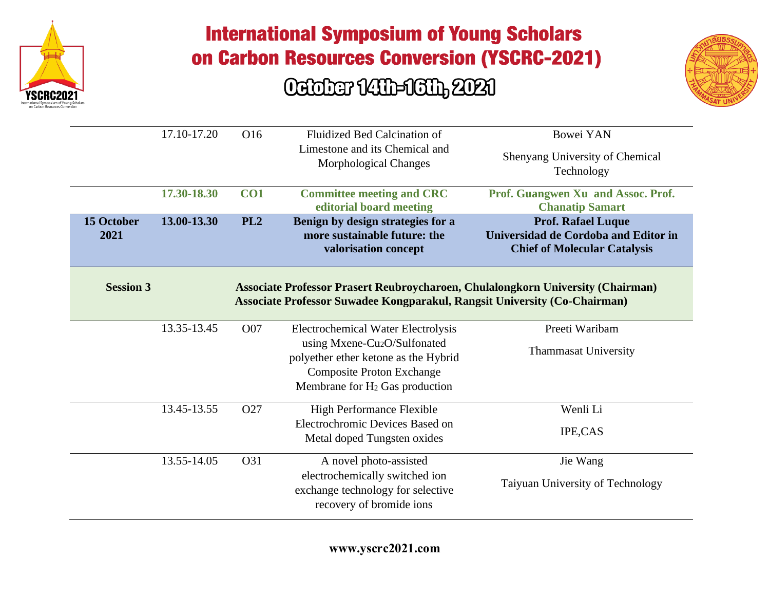



|                    | 17.10-17.20 | O16             | <b>Fluidized Bed Calcination of</b><br>Limestone and its Chemical and<br>Morphological Changes                                                                                                                  | <b>Bowei YAN</b><br>Shenyang University of Chemical<br>Technology                                               |
|--------------------|-------------|-----------------|-----------------------------------------------------------------------------------------------------------------------------------------------------------------------------------------------------------------|-----------------------------------------------------------------------------------------------------------------|
|                    | 17.30-18.30 | CO1             | <b>Committee meeting and CRC</b><br>editorial board meeting                                                                                                                                                     | Prof. Guangwen Xu and Assoc. Prof.<br><b>Chanatip Samart</b>                                                    |
| 15 October<br>2021 | 13.00-13.30 | PL <sub>2</sub> | Benign by design strategies for a<br>more sustainable future: the<br>valorisation concept                                                                                                                       | <b>Prof. Rafael Luque</b><br><b>Universidad de Cordoba and Editor in</b><br><b>Chief of Molecular Catalysis</b> |
| <b>Session 3</b>   |             |                 | Associate Professor Prasert Reubroycharoen, Chulalongkorn University (Chairman)<br><b>Associate Professor Suwadee Kongparakul, Rangsit University (Co-Chairman)</b>                                             |                                                                                                                 |
|                    | 13.35-13.45 | O07             | <b>Electrochemical Water Electrolysis</b><br>using Mxene-Cu <sub>2</sub> O/Sulfonated<br>polyether ether ketone as the Hybrid<br><b>Composite Proton Exchange</b><br>Membrane for H <sub>2</sub> Gas production | Preeti Waribam<br><b>Thammasat University</b>                                                                   |
|                    | 13.45-13.55 | O27             | <b>High Performance Flexible</b><br>Electrochromic Devices Based on<br>Metal doped Tungsten oxides                                                                                                              | Wenli Li<br><b>IPE,CAS</b>                                                                                      |
|                    | 13.55-14.05 | O31             | A novel photo-assisted<br>electrochemically switched ion<br>exchange technology for selective<br>recovery of bromide ions                                                                                       | Jie Wang<br>Taiyuan University of Technology                                                                    |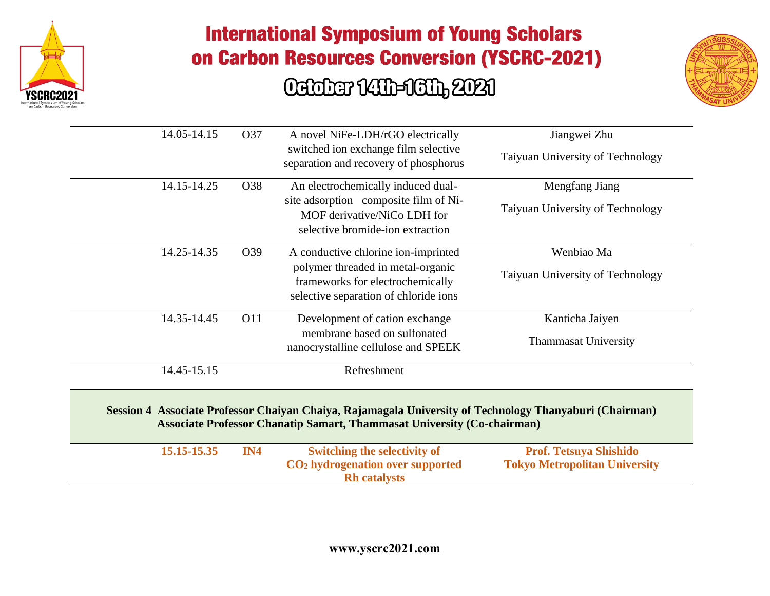



| 14.05-14.15 | O37 | A novel NiFe-LDH/rGO electrically                                                                                                                                                         | Jiangwei Zhu                         |
|-------------|-----|-------------------------------------------------------------------------------------------------------------------------------------------------------------------------------------------|--------------------------------------|
|             |     | switched ion exchange film selective<br>separation and recovery of phosphorus                                                                                                             | Taiyuan University of Technology     |
| 14.15-14.25 | O38 | An electrochemically induced dual-                                                                                                                                                        | Mengfang Jiang                       |
|             |     | site adsorption composite film of Ni-<br>MOF derivative/NiCo LDH for<br>selective bromide-ion extraction                                                                                  | Taiyuan University of Technology     |
| 14.25-14.35 | O39 | A conductive chlorine ion-imprinted                                                                                                                                                       | Wenbiao Ma                           |
|             |     | polymer threaded in metal-organic<br>frameworks for electrochemically<br>selective separation of chloride ions                                                                            | Taiyuan University of Technology     |
| 14.35-14.45 | O11 | Development of cation exchange                                                                                                                                                            | Kanticha Jaiyen                      |
|             |     | membrane based on sulfonated<br>nanocrystalline cellulose and SPEEK                                                                                                                       | <b>Thammasat University</b>          |
| 14.45-15.15 |     | Refreshment                                                                                                                                                                               |                                      |
|             |     | Session 4 Associate Professor Chaiyan Chaiya, Rajamagala University of Technology Thanyaburi (Chairman)<br><b>Associate Professor Chanatip Samart, Thammasat University (Co-chairman)</b> |                                      |
| 15.15-15.35 | IN4 | <b>Switching the selectivity of</b>                                                                                                                                                       | <b>Prof. Tetsuya Shishido</b>        |
|             |     | CO <sub>2</sub> hydrogenation over supported<br><b>Rh</b> catalysts                                                                                                                       | <b>Tokyo Metropolitan University</b> |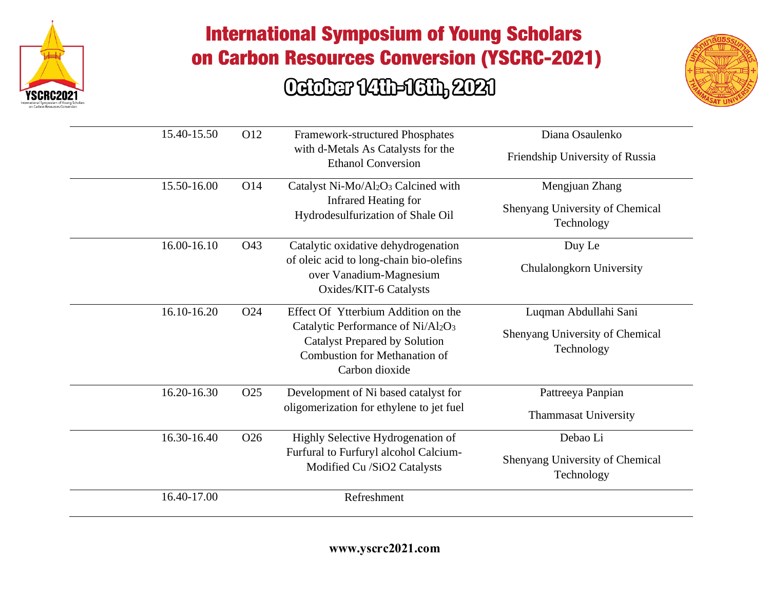



| 15.40-15.50 | O12             | Framework-structured Phosphates<br>with d-Metals As Catalysts for the<br><b>Ethanol Conversion</b>                                                                  | Diana Osaulenko<br>Friendship University of Russia                     |
|-------------|-----------------|---------------------------------------------------------------------------------------------------------------------------------------------------------------------|------------------------------------------------------------------------|
| 15.50-16.00 | O14             | Catalyst Ni-Mo/Al2O3 Calcined with<br>Infrared Heating for<br>Hydrodesulfurization of Shale Oil                                                                     | Mengjuan Zhang<br>Shenyang University of Chemical<br>Technology        |
| 16.00-16.10 | O43             | Catalytic oxidative dehydrogenation<br>of oleic acid to long-chain bio-olefins<br>over Vanadium-Magnesium<br>Oxides/KIT-6 Catalysts                                 | Duy Le<br>Chulalongkorn University                                     |
| 16.10-16.20 | O <sub>24</sub> | Effect Of Ytterbium Addition on the<br>Catalytic Performance of Ni/Al2O3<br><b>Catalyst Prepared by Solution</b><br>Combustion for Methanation of<br>Carbon dioxide | Luqman Abdullahi Sani<br>Shenyang University of Chemical<br>Technology |
| 16.20-16.30 | O25             | Development of Ni based catalyst for<br>oligomerization for ethylene to jet fuel                                                                                    | Pattreeya Panpian<br><b>Thammasat University</b>                       |
| 16.30-16.40 | O <sub>26</sub> | Highly Selective Hydrogenation of<br>Furfural to Furfuryl alcohol Calcium-<br>Modified Cu /SiO2 Catalysts                                                           | Debao Li<br>Shenyang University of Chemical<br>Technology              |
| 16.40-17.00 |                 | Refreshment                                                                                                                                                         |                                                                        |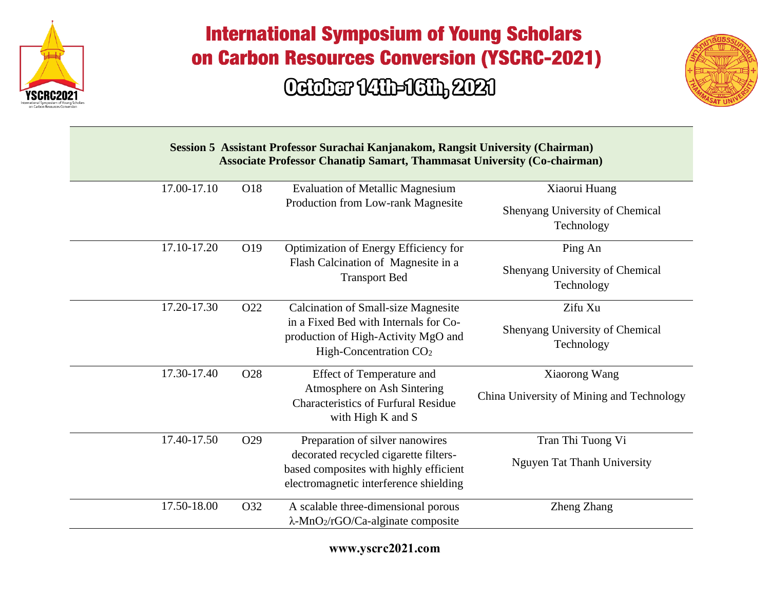



| Session 5 Assistant Professor Surachai Kanjanakom, Rangsit University (Chairman)<br><b>Associate Professor Chanatip Samart, Thammasat University (Co-chairman)</b> |     |                                                                                                                           |                                               |  |
|--------------------------------------------------------------------------------------------------------------------------------------------------------------------|-----|---------------------------------------------------------------------------------------------------------------------------|-----------------------------------------------|--|
| 17.00-17.10                                                                                                                                                        | O18 | <b>Evaluation of Metallic Magnesium</b>                                                                                   | Xiaorui Huang                                 |  |
|                                                                                                                                                                    |     | Production from Low-rank Magnesite                                                                                        | Shenyang University of Chemical<br>Technology |  |
| 17.10-17.20                                                                                                                                                        | O19 | Optimization of Energy Efficiency for                                                                                     | Ping An                                       |  |
|                                                                                                                                                                    |     | Flash Calcination of Magnesite in a<br><b>Transport Bed</b>                                                               | Shenyang University of Chemical<br>Technology |  |
| 17.20-17.30                                                                                                                                                        | O22 | <b>Calcination of Small-size Magnesite</b>                                                                                | Zifu Xu                                       |  |
|                                                                                                                                                                    |     | in a Fixed Bed with Internals for Co-<br>production of High-Activity MgO and<br>High-Concentration CO <sub>2</sub>        | Shenyang University of Chemical<br>Technology |  |
| 17.30-17.40                                                                                                                                                        | O28 | <b>Effect of Temperature and</b>                                                                                          | Xiaorong Wang                                 |  |
|                                                                                                                                                                    |     | Atmosphere on Ash Sintering<br><b>Characteristics of Furfural Residue</b><br>with High K and S                            | China University of Mining and Technology     |  |
| 17.40-17.50                                                                                                                                                        | O29 | Preparation of silver nanowires                                                                                           | Tran Thi Tuong Vi                             |  |
|                                                                                                                                                                    |     | decorated recycled cigarette filters-<br>based composites with highly efficient<br>electromagnetic interference shielding | Nguyen Tat Thanh University                   |  |
| 17.50-18.00                                                                                                                                                        | O32 | A scalable three-dimensional porous<br>$\lambda$ -MnO <sub>2</sub> /rGO/Ca-alginate composite                             | Zheng Zhang                                   |  |

**www.yscrc2021.com**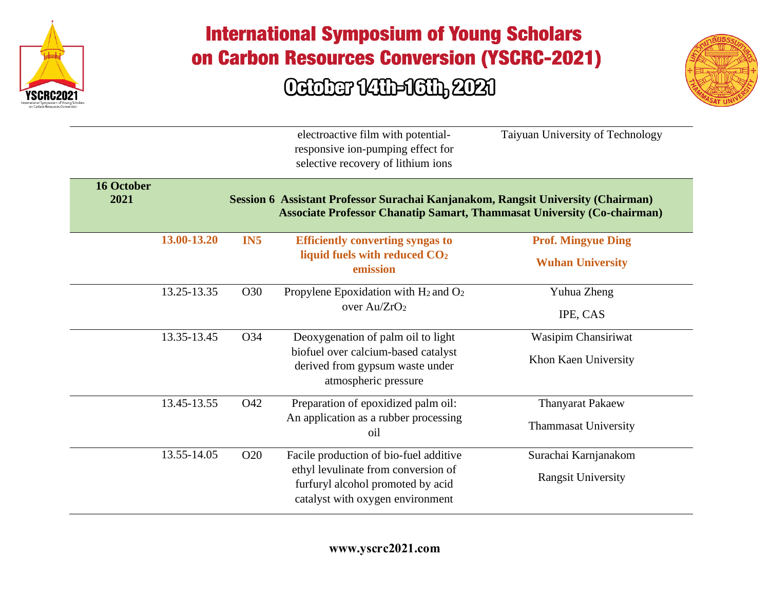



|                           |             |                 | electroactive film with potential-<br>responsive ion-pumping effect for<br>selective recovery of lithium ions                                                      | Taiyuan University of Technology |
|---------------------------|-------------|-----------------|--------------------------------------------------------------------------------------------------------------------------------------------------------------------|----------------------------------|
| <b>16 October</b><br>2021 |             |                 | Session 6 Assistant Professor Surachai Kanjanakom, Rangsit University (Chairman)<br><b>Associate Professor Chanatip Samart, Thammasat University (Co-chairman)</b> |                                  |
|                           | 13.00-13.20 | IN <sub>5</sub> | <b>Efficiently converting syngas to</b>                                                                                                                            | <b>Prof. Mingyue Ding</b>        |
|                           |             |                 | liquid fuels with reduced CO <sub>2</sub><br>emission                                                                                                              | <b>Wuhan University</b>          |
|                           | 13.25-13.35 | O30             | Propylene Epoxidation with $H_2$ and $O_2$                                                                                                                         | Yuhua Zheng                      |
|                           |             |                 | over Au/ZrO <sub>2</sub>                                                                                                                                           | IPE, CAS                         |
|                           | 13.35-13.45 | O34             | Deoxygenation of palm oil to light                                                                                                                                 | Wasipim Chansiriwat              |
|                           |             |                 | biofuel over calcium-based catalyst<br>derived from gypsum waste under<br>atmospheric pressure                                                                     | Khon Kaen University             |
|                           | 13.45-13.55 | O42             | Preparation of epoxidized palm oil:                                                                                                                                | <b>Thanyarat Pakaew</b>          |
|                           |             |                 | An application as a rubber processing<br>oil                                                                                                                       | <b>Thammasat University</b>      |
|                           | 13.55-14.05 | O <sub>20</sub> | Facile production of bio-fuel additive                                                                                                                             | Surachai Karnjanakom             |
|                           |             |                 | ethyl levulinate from conversion of<br>furfuryl alcohol promoted by acid<br>catalyst with oxygen environment                                                       | <b>Rangsit University</b>        |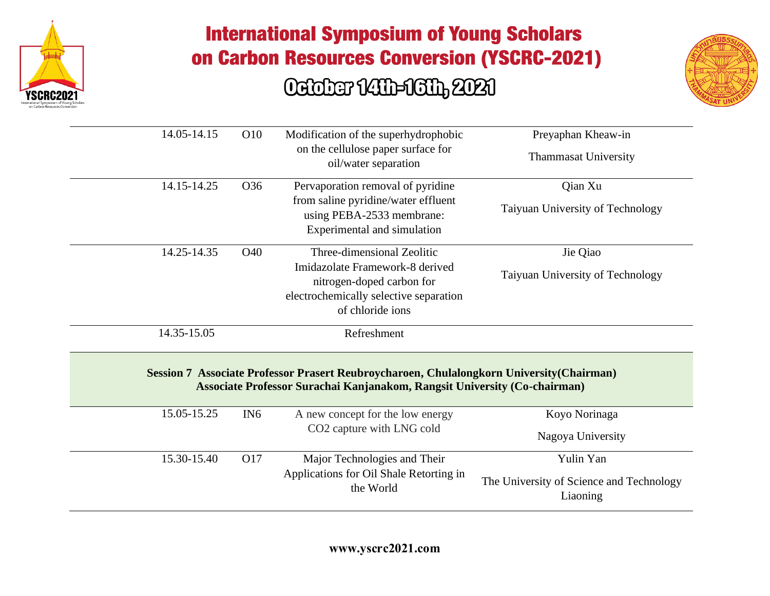



| 14.05-14.15 | O10             | Modification of the superhydrophobic<br>on the cellulose paper surface for<br>oil/water separation                                                                                                         | Preyaphan Kheaw-in<br><b>Thammasat University</b>    |
|-------------|-----------------|------------------------------------------------------------------------------------------------------------------------------------------------------------------------------------------------------------|------------------------------------------------------|
| 14.15-14.25 | O36             | Pervaporation removal of pyridine<br>from saline pyridine/water effluent<br>using PEBA-2533 membrane:<br>Experimental and simulation                                                                       | Qian Xu<br>Taiyuan University of Technology          |
| 14.25-14.35 | O40             | Three-dimensional Zeolitic<br>Imidazolate Framework-8 derived<br>nitrogen-doped carbon for<br>electrochemically selective separation<br>of chloride ions                                                   | Jie Qiao<br>Taiyuan University of Technology         |
| 14.35-15.05 |                 | Refreshment                                                                                                                                                                                                |                                                      |
| 15.05-15.25 | IN <sub>6</sub> | Session 7 Associate Professor Prasert Reubroycharoen, Chulalongkorn University (Chairman)<br>Associate Professor Surachai Kanjanakom, Rangsit University (Co-chairman)<br>A new concept for the low energy | Koyo Norinaga                                        |
|             |                 | CO2 capture with LNG cold                                                                                                                                                                                  | Nagoya University                                    |
| 15.30-15.40 | O17             | Major Technologies and Their                                                                                                                                                                               | Yulin Yan                                            |
|             |                 | Applications for Oil Shale Retorting in<br>the World                                                                                                                                                       | The University of Science and Technology<br>Liaoning |